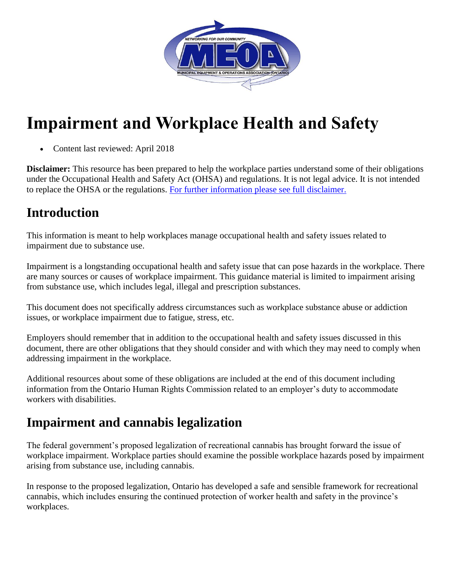

# **Impairment and Workplace Health and Safety**

• Content last reviewed: April 2018

**Disclaimer:** This resource has been prepared to help the workplace parties understand some of their obligations under the Occupational Health and Safety Act (OHSA) and regulations. It is not legal advice. It is not intended to replace the OHSA or the regulations. [For further information please see full disclaimer.](http://www.labour.gov.on.ca/english/hs/hs_disclaimer.php)

## **Introduction**

This information is meant to help workplaces manage occupational health and safety issues related to impairment due to substance use.

Impairment is a longstanding occupational health and safety issue that can pose hazards in the workplace. There are many sources or causes of workplace impairment. This guidance material is limited to impairment arising from substance use, which includes legal, illegal and prescription substances.

This document does not specifically address circumstances such as workplace substance abuse or addiction issues, or workplace impairment due to fatigue, stress, etc.

Employers should remember that in addition to the occupational health and safety issues discussed in this document, there are other obligations that they should consider and with which they may need to comply when addressing impairment in the workplace.

Additional resources about some of these obligations are included at the end of this document including information from the Ontario Human Rights Commission related to an employer's duty to accommodate workers with disabilities.

# **Impairment and cannabis legalization**

The federal government's proposed legalization of recreational cannabis has brought forward the issue of workplace impairment. Workplace parties should examine the possible workplace hazards posed by impairment arising from substance use, including cannabis.

In response to the proposed legalization, Ontario has developed a safe and sensible framework for recreational cannabis, which includes ensuring the continued protection of worker health and safety in the province's workplaces.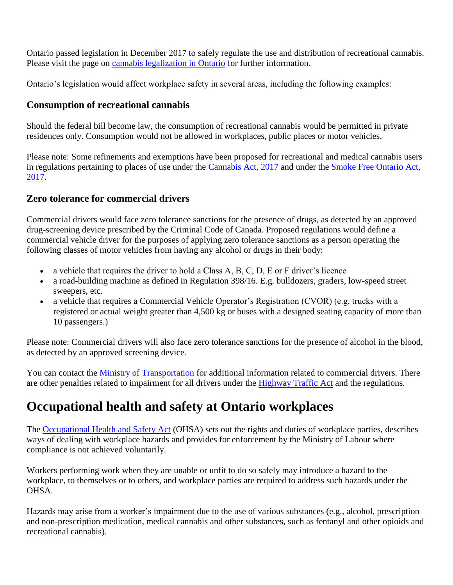Ontario passed legislation in December 2017 to safely regulate the use and distribution of recreational cannabis. Please visit the page on [cannabis legalization in Ontario](https://www.ontario.ca/page/cannabis-legalization) for further information.

Ontario's legislation would affect workplace safety in several areas, including the following examples:

### **Consumption of recreational cannabis**

Should the federal bill become law, the consumption of recreational cannabis would be permitted in private residences only. Consumption would not be allowed in workplaces, public places or motor vehicles.

Please note: Some refinements and exemptions have been proposed for recreational and medical cannabis users in regulations pertaining to places of use under the [Cannabis Act, 2017](https://www.ontario.ca/laws/statute/17c26) and under the [Smoke Free Ontario Act,](https://www.ontario.ca/laws/statute/17s26)  [2017.](https://www.ontario.ca/laws/statute/17s26)

### **Zero tolerance for commercial drivers**

Commercial drivers would face zero tolerance sanctions for the presence of drugs, as detected by an approved drug-screening device prescribed by the Criminal Code of Canada. Proposed regulations would define a commercial vehicle driver for the purposes of applying zero tolerance sanctions as a person operating the following classes of motor vehicles from having any alcohol or drugs in their body:

- $\bullet$  a vehicle that requires the driver to hold a Class A, B, C, D, E or F driver's licence
- a road-building machine as defined in Regulation 398/16. E.g. bulldozers, graders, low-speed street sweepers, etc.
- a vehicle that requires a Commercial Vehicle Operator's Registration (CVOR) (e.g. trucks with a registered or actual weight greater than 4,500 kg or buses with a designed seating capacity of more than 10 passengers.)

Please note: Commercial drivers will also face zero tolerance sanctions for the presence of alcohol in the blood, as detected by an approved screening device.

You can contact the [Ministry of Transportation](http://www.mto.gov.on.ca/english/) for additional information related to commercial drivers. There are other penalties related to impairment for all drivers under the [Highway Traffic Act](https://www.ontario.ca/laws/statute/90h08) and the regulations.

# **Occupational health and safety at Ontario workplaces**

The [Occupational Health and Safety Act](https://www.ontario.ca/laws/statute/90o01) (OHSA) sets out the rights and duties of workplace parties, describes ways of dealing with workplace hazards and provides for enforcement by the Ministry of Labour where compliance is not achieved voluntarily.

Workers performing work when they are unable or unfit to do so safely may introduce a hazard to the workplace, to themselves or to others, and workplace parties are required to address such hazards under the OHSA.

Hazards may arise from a worker's impairment due to the use of various substances (e.g., alcohol, prescription and non-prescription medication, medical cannabis and other substances, such as fentanyl and other opioids and recreational cannabis).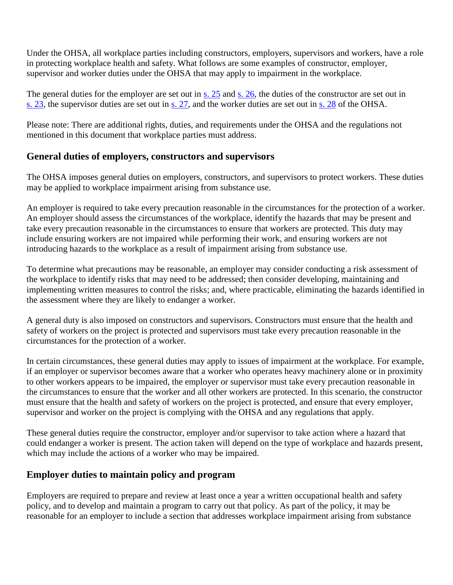Under the OHSA, all workplace parties including constructors, employers, supervisors and workers, have a role in protecting workplace health and safety. What follows are some examples of constructor, employer, supervisor and worker duties under the OHSA that may apply to impairment in the workplace.

The general duties for the employer are set out in [s. 25](https://www.ontario.ca/laws/statute/90o01#BK47) and s. [26,](https://www.ontario.ca/laws/statute/90o01#BK49) the duties of the constructor are set out in s. [23,](https://www.ontario.ca/laws/statute/90o01#BK45) the supervisor duties are set out in s. [27,](https://www.ontario.ca/laws/statute/90o01#BK50) and the worker duties are set out in s. [28](https://www.ontario.ca/laws/statute/90o01#BK51) of the OHSA.

Please note: There are additional rights, duties, and requirements under the OHSA and the regulations not mentioned in this document that workplace parties must address.

#### **General duties of employers, constructors and supervisors**

The OHSA imposes general duties on employers, constructors, and supervisors to protect workers. These duties may be applied to workplace impairment arising from substance use.

An employer is required to take every precaution reasonable in the circumstances for the protection of a worker. An employer should assess the circumstances of the workplace, identify the hazards that may be present and take every precaution reasonable in the circumstances to ensure that workers are protected. This duty may include ensuring workers are not impaired while performing their work, and ensuring workers are not introducing hazards to the workplace as a result of impairment arising from substance use.

To determine what precautions may be reasonable, an employer may consider conducting a risk assessment of the workplace to identify risks that may need to be addressed; then consider developing, maintaining and implementing written measures to control the risks; and, where practicable, eliminating the hazards identified in the assessment where they are likely to endanger a worker.

A general duty is also imposed on constructors and supervisors. Constructors must ensure that the health and safety of workers on the project is protected and supervisors must take every precaution reasonable in the circumstances for the protection of a worker.

In certain circumstances, these general duties may apply to issues of impairment at the workplace. For example, if an employer or supervisor becomes aware that a worker who operates heavy machinery alone or in proximity to other workers appears to be impaired, the employer or supervisor must take every precaution reasonable in the circumstances to ensure that the worker and all other workers are protected. In this scenario, the constructor must ensure that the health and safety of workers on the project is protected, and ensure that every employer, supervisor and worker on the project is complying with the OHSA and any regulations that apply.

These general duties require the constructor, employer and/or supervisor to take action where a hazard that could endanger a worker is present. The action taken will depend on the type of workplace and hazards present, which may include the actions of a worker who may be impaired.

### **Employer duties to maintain policy and program**

Employers are required to prepare and review at least once a year a written occupational health and safety policy, and to develop and maintain a program to carry out that policy. As part of the policy, it may be reasonable for an employer to include a section that addresses workplace impairment arising from substance